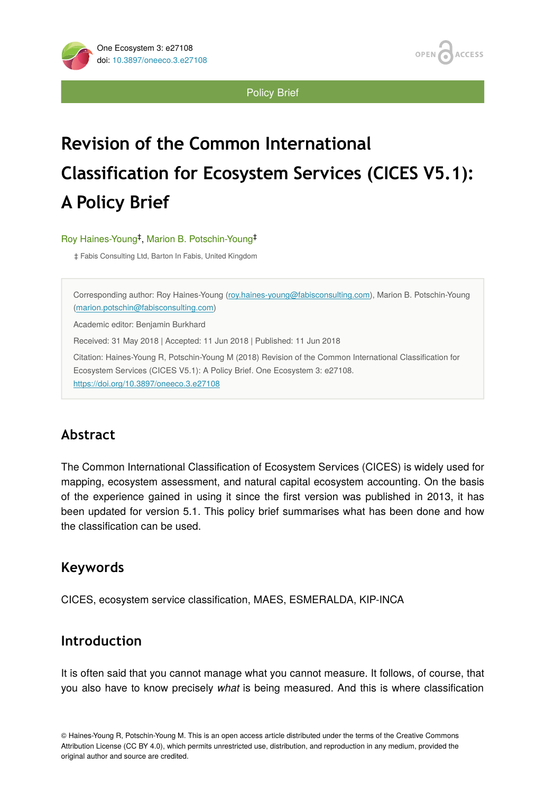**ACCESS** OPEN

**Policy Brief** 

# **Revision of the Common International Classification for Ecosystem Services (CICES V5.1): A Policy Brief**

Roy Haines-Young<sup>‡</sup>, Marion B. Potschin-Young<sup>‡</sup>

‡ Fabis Consulting Ltd, Barton In Fabis, United Kingdom

Corresponding author: Roy Haines-Young ([roy.haines-young@fabisconsulting.com](mailto:roy.haines-young@fabisconsulting.com)), Marion B. Potschin-Young [\(marion.potschin@fabisconsulting.com](mailto:marion.potschin@fabisconsulting.com)) Academic editor: Benjamin Burkhard Received: 31 May 2018 | Accepted: 11 Jun 2018 | Published: 11 Jun 2018 Citation: Haines-Young R, Potschin-Young M (2018) Revision of the Common International Classification for Ecosystem Services (CICES V5.1): A Policy Brief. One Ecosystem 3: e27108. <https://doi.org/10.3897/oneeco.3.e27108>

# **Abstract**

The Common International Classification of Ecosystem Services (CICES) is widely used for mapping, ecosystem assessment, and natural capital ecosystem accounting. On the basis of the experience gained in using it since the first version was published in 2013, it has been updated for version 5.1. This policy brief summarises what has been done and how the classification can be used.

## **Keywords**

CICES, ecosystem service classification, MAES, ESMERALDA, KIP-INCA

## **Introduction**

It is often said that you cannot manage what you cannot measure. It follows, of course, that you also have to know precisely *what* is being measured. And this is where classification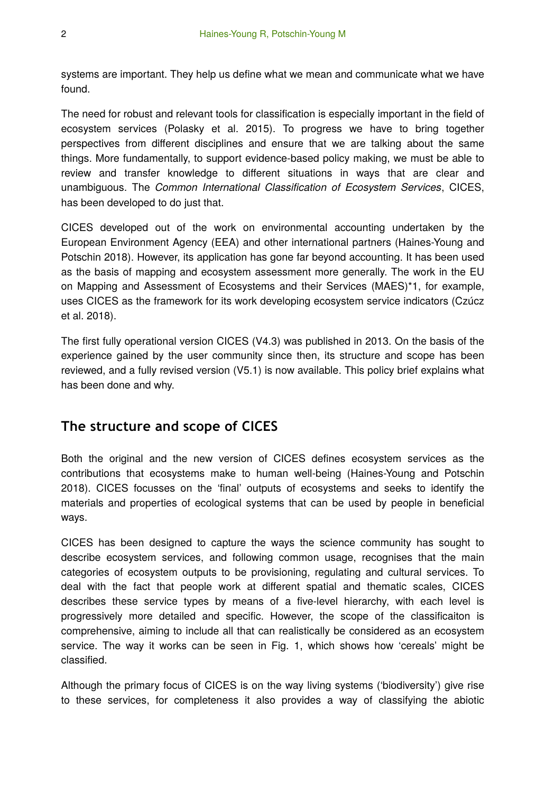systems are important. They help us define what we mean and communicate what we have found.

The need for robust and relevant tools for classification is especially important in the field of ecosystem services (Polasky et al. 2015). To progress we have to bring together perspectives from different disciplines and ensure that we are talking about the same things. More fundamentally, to support evidence-based policy making, we must be able to review and transfer knowledge to different situations in ways that are clear and unambiguous. The *Common International Classification of Ecosystem Services*, CICES, has been developed to do just that.

CICES developed out of the work on environmental accounting undertaken by the European Environment Agency (EEA) and other international partners (Haines-Young and Potschin 2018). However, its application has gone far beyond accounting. It has been used as the basis of mapping and ecosystem assessment more generally. The work in the EU on Mapping and Assessment of Ecosystems and their Services (MAES)\*1, for example, uses CICES as the framework for its work developing ecosystem service indicators (Czúcz et al. 2018).

The first fully operational version CICES (V4.3) was published in 2013. On the basis of the experience gained by the user community since then, its structure and scope has been reviewed, and a fully revised version (V5.1) is now available. This policy brief explains what has been done and why.

### **The structure and scope of CICES**

Both the original and the new version of CICES defines ecosystem services as the contributions that ecosystems make to human well-being (Haines-Young and Potschin 2018). CICES focusses on the 'final' outputs of ecosystems and seeks to identify the materials and properties of ecological systems that can be used by people in beneficial ways.

CICES has been designed to capture the ways the science community has sought to describe ecosystem services, and following common usage, recognises that the main categories of ecosystem outputs to be provisioning, regulating and cultural services. To deal with the fact that people work at different spatial and thematic scales, CICES describes these service types by means of a five-level hierarchy, with each level is progressively more detailed and specific. However, the scope of the classificaiton is comprehensive, aiming to include all that can realistically be considered as an ecosystem service. The way it works can be seen in Fig. 1, which shows how 'cereals' might be classified.

Although the primary focus of CICES is on the way living systems ('biodiversity') give rise to these services, for completeness it also provides a way of classifying the abiotic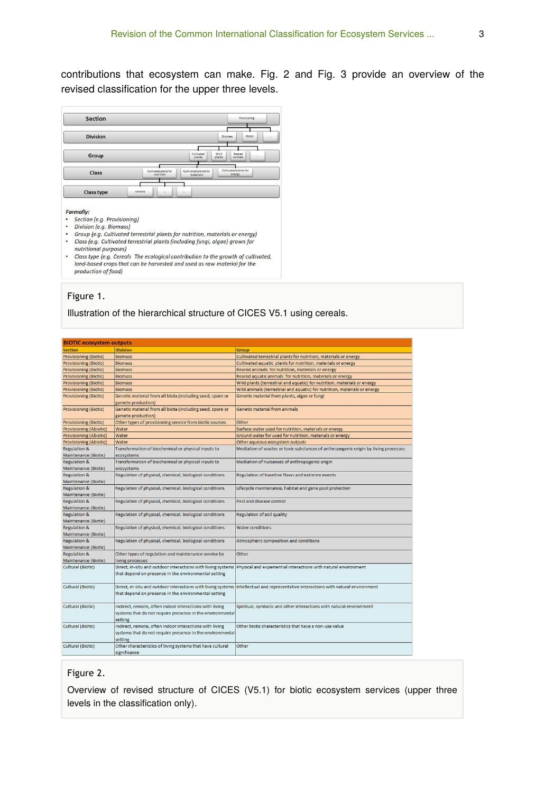contributions that ecosystem can make. Fig. 2 and Fig. 3 provide an overview of the revised classification for the upper three levels.

| <b>Section</b>    |                                    |                                                                       | <b>Provisioning</b> |
|-------------------|------------------------------------|-----------------------------------------------------------------------|---------------------|
| <b>Division</b>   |                                    | Biomass                                                               | Water               |
| Group             |                                    | Reared<br>Cultivated<br>Wild<br>animals<br>plants<br>plants           | ۰                   |
| <b>Class</b>      | Cultivated plants for<br>nutrition | Cultivated plants for<br>Cultivated plants for<br>energy<br>materials |                     |
| <b>Class type</b> | Cereals<br><b>Service</b>          | <b>SSE</b>                                                            |                     |

#### **Formally:**

- · Section (e.g. Provisioning) · Division (e.g. Biomass)
- 
- Group (e.g. Cultivated terrestrial plants for nutrition, materials or energy)<br>• Class (e.g. Cultivated terrestrial plants (including fungi, algae) grown for
- nutritional purposes) • Class type (e.g. Cereals The ecological contribution to the growth of cultivated, land-based crops that can be harvested and used as raw material for the production of food)

#### Figure 1.

Illustration of the hierarchical structure of CICES V5.1 using cereals.

| <b>BIOTIC ecosystem outputs</b> |                                                                                                                                 |                                                                                     |  |  |  |
|---------------------------------|---------------------------------------------------------------------------------------------------------------------------------|-------------------------------------------------------------------------------------|--|--|--|
| <b>Section</b>                  | <b>Division</b>                                                                                                                 | <b>Group</b>                                                                        |  |  |  |
| <b>Provisioning (Biotic)</b>    | <b>Biomass</b>                                                                                                                  | Cultivated terrestrial plants for nutrition, materials or energy                    |  |  |  |
| <b>Provisioning (Biotic)</b>    | <b>Biomass</b>                                                                                                                  | Cultivated aquatic plants for nutrition, materials or energy                        |  |  |  |
| <b>Provisioning (Biotic)</b>    | <b>Biomass</b>                                                                                                                  | Reared animals for nutrition, materials or energy                                   |  |  |  |
| <b>Provisioning (Biotic)</b>    | <b>Biomass</b>                                                                                                                  | Reared aquatic animals for nutrition, materials or energy                           |  |  |  |
| <b>Provisioning (Biotic)</b>    | <b>Biomass</b>                                                                                                                  | Wild plants (terrestrial and aquatic) for nutrition, materials or energy            |  |  |  |
| <b>Provisioning (Biotic)</b>    | <b>Biomass</b>                                                                                                                  | Wild animals (terrestrial and aquatic) for nutrition, materials or energy           |  |  |  |
| <b>Provisioning (Biotic)</b>    | Genetic material from all biota (including seed, spore or<br>gamete production)                                                 | Genetic material from plants, algae or fungi                                        |  |  |  |
| <b>Provisioning (Biotic)</b>    | Genetic material from all biota (including seed, spore or<br>gamete production)                                                 | Genetic material from animals                                                       |  |  |  |
| <b>Provisioning (Biotic)</b>    | Other types of provisioning service from biotic sources                                                                         | Other                                                                               |  |  |  |
| <b>Provisioning (Abiotic)</b>   | Water                                                                                                                           | Surface water used for nutrition, materials or energy                               |  |  |  |
| <b>Provisioning (Abiotic)</b>   | Water                                                                                                                           | Ground water for used for nutrition, materials or energy                            |  |  |  |
| <b>Provisioning (Abiotic)</b>   | Water                                                                                                                           | Other aqueous ecosystem outputs                                                     |  |  |  |
| <b>Regulation &amp;</b>         | Transformation of biochemical or physical inputs to                                                                             | Mediation of wastes or toxic substances of anthropogenic origin by living processes |  |  |  |
| <b>Maintenance (Biotic)</b>     | ecosystems                                                                                                                      |                                                                                     |  |  |  |
| <b>Regulation &amp;</b>         | Transformation of biochemical or physical inputs to                                                                             | Mediation of nuisances of anthropogenic origin                                      |  |  |  |
| <b>Maintenance (Biotic)</b>     | ecosystems                                                                                                                      |                                                                                     |  |  |  |
| <b>Regulation &amp;</b>         | Regulation of physical, chemical, biological conditions                                                                         | Regulation of baseline flows and extreme events                                     |  |  |  |
| <b>Maintenance (Biotic)</b>     |                                                                                                                                 |                                                                                     |  |  |  |
| <b>Regulation &amp;</b>         | Regulation of physical, chemical, biological conditions                                                                         | Lifecycle maintenance, habitat and gene pool protection                             |  |  |  |
| <b>Maintenance (Biotic)</b>     |                                                                                                                                 |                                                                                     |  |  |  |
| <b>Regulation &amp;</b>         | Regulation of physical, chemical, biological conditions                                                                         | Pest and disease control                                                            |  |  |  |
| <b>Maintenance (Biotic)</b>     |                                                                                                                                 |                                                                                     |  |  |  |
| <b>Regulation &amp;</b>         | Regulation of physical, chemical, biological conditions                                                                         | <b>Regulation of soil quality</b>                                                   |  |  |  |
| <b>Maintenance (Biotic)</b>     |                                                                                                                                 |                                                                                     |  |  |  |
| <b>Regulation &amp;</b>         | Regulation of physical, chemical, biological conditions                                                                         | <b>Water conditions</b>                                                             |  |  |  |
| <b>Maintenance (Biotic)</b>     |                                                                                                                                 |                                                                                     |  |  |  |
| <b>Regulation &amp;</b>         | Regulation of physical, chemical, biological conditions                                                                         | Atmospheric composition and conditions                                              |  |  |  |
| <b>Maintenance (Biotic)</b>     |                                                                                                                                 |                                                                                     |  |  |  |
| <b>Regulation &amp;</b>         | Other types of regulation and maintenance service by                                                                            | Other                                                                               |  |  |  |
| <b>Maintenance (Biotic)</b>     | living processes                                                                                                                |                                                                                     |  |  |  |
| <b>Cultural (Biotic)</b>        | Direct, in-situ and outdoor interactions with living systems<br>that depend on presence in the environmental setting            | Physical and experiential interactions with natural environment                     |  |  |  |
| <b>Cultural (Biotic)</b>        | Direct, in-situ and outdoor interactions with living systems<br>that depend on presence in the environmental setting            | Intellectual and representative interactions with natural environment               |  |  |  |
| <b>Cultural (Biotic)</b>        | Indirect, remote, often indoor interactions with living<br>systems that do not require presence in the environmental<br>setting | Spiritual, symbolic and other interactions with natural environment                 |  |  |  |
| <b>Cultural (Biotic)</b>        | Indirect, remote, often indoor interactions with living<br>systems that do not require presence in the environmental<br>setting | Other biotic characteristics that have a non-use value                              |  |  |  |
| <b>Cultural (Biotic)</b>        | Other characteristics of living systems that have cultural<br>significance                                                      | Other                                                                               |  |  |  |

#### Figure 2.

Overview of revised structure of CICES (V5.1) for biotic ecosystem services (upper three levels in the classification only).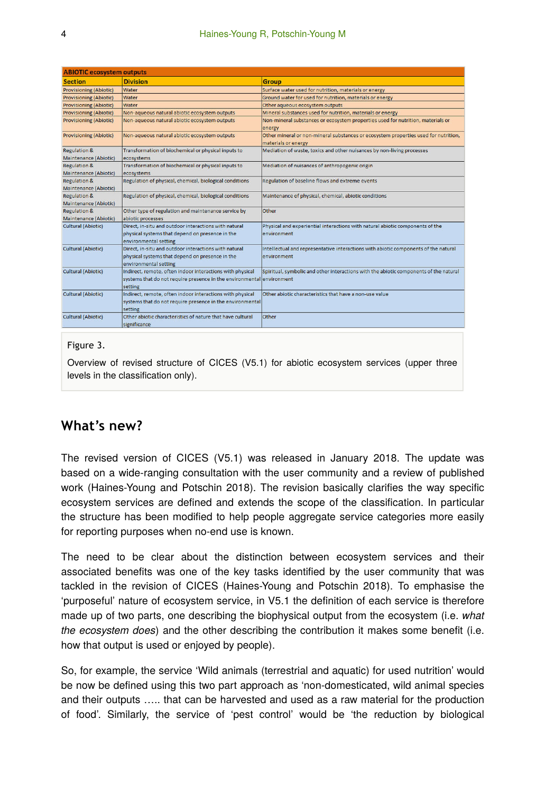| <b>ABIOTIC ecosystem outputs</b>                        |                                                                                                                                               |                                                                                                            |  |  |
|---------------------------------------------------------|-----------------------------------------------------------------------------------------------------------------------------------------------|------------------------------------------------------------------------------------------------------------|--|--|
| <b>Section</b>                                          | <b>Division</b>                                                                                                                               | <b>Group</b>                                                                                               |  |  |
| <b>Provisioning (Abiotic)</b>                           | Water                                                                                                                                         | Surface water used for nutrition, materials or energy                                                      |  |  |
| <b>Provisioning (Abiotic)</b>                           | Water                                                                                                                                         | Ground water for used for nutrition, materials or energy                                                   |  |  |
| <b>Provisioning (Abiotic)</b>                           | Water                                                                                                                                         | Other aqueous ecosystem outputs                                                                            |  |  |
| <b>Provisioning (Abiotic)</b>                           | Non-aqueous natural abiotic ecosystem outputs                                                                                                 | Mineral substances used for nutrition, materials or energy                                                 |  |  |
| <b>Provisioning (Abiotic)</b>                           | Non-aqueous natural abiotic ecosystem outputs                                                                                                 | Non-mineral substances or ecosystem properties used for nutrition, materials or<br>energy                  |  |  |
| <b>Provisioning (Abiotic)</b>                           | Non-aqueous natural abiotic ecosystem outputs                                                                                                 | Other mineral or non-mineral substances or ecosystem properties used for nutrition,<br>materials or energy |  |  |
| <b>Regulation &amp;</b><br><b>Maintenance (Abiotic)</b> | Transformation of biochemical or physical inputs to<br>ecosystems                                                                             | Mediation of waste, toxics and other nuisances by non-living processes                                     |  |  |
| <b>Regulation &amp;</b><br>Maintenance (Abiotic)        | Transformation of biochemical or physical inputs to<br>ecosystems                                                                             | Mediation of nuisances of anthropogenic origin                                                             |  |  |
| <b>Regulation &amp;</b><br>Maintenance (Abiotic)        | Regulation of physical, chemical, biological conditions                                                                                       | Regulation of baseline flows and extreme events                                                            |  |  |
| <b>Regulation &amp;</b><br>Maintenance (Abiotic)        | Regulation of physical, chemical, biological conditions                                                                                       | Maintenance of physical, chemical, abiotic conditions                                                      |  |  |
| <b>Regulation &amp;</b><br>Maintenance (Abiotic)        | Other type of regulation and maintenance service by<br>abiotic processes                                                                      | Other                                                                                                      |  |  |
| <b>Cultural (Abiotic)</b>                               | Direct, in-situ and outdoor interactions with natural<br>physical systems that depend on presence in the<br>environmental setting             | Physical and experiential interactions with natural abiotic components of the<br>environment               |  |  |
| <b>Cultural (Abiotic)</b>                               | Direct, in-situ and outdoor interactions with natural<br>physical systems that depend on presence in the<br>environmental setting             | Intellectual and representative interactions with abiotic components of the natural<br>environment         |  |  |
| <b>Cultural (Abiotic)</b>                               | Indirect, remote, often indoor interactions with physical<br>systems that do not require presence in the environmental environment<br>setting | Spiritual, symbolic and other interactions with the abiotic components of the natural                      |  |  |
| <b>Cultural (Abiotic)</b>                               | Indirect, remote, often indoor interactions with physical<br>systems that do not require presence in the environmental<br>setting             | Other abiotic characteristics that have a non-use value                                                    |  |  |
| <b>Cultural (Abiotic)</b>                               | Other abiotic characteristics of nature that have cultural<br>significance                                                                    | Other                                                                                                      |  |  |

#### Figure 3.

Overview of revised structure of CICES (V5.1) for abiotic ecosystem services (upper three levels in the classification only).

### **What's new?**

The revised version of CICES (V5.1) was released in January 2018. The update was based on a wide-ranging consultation with the user community and a review of published work (Haines-Young and Potschin 2018). The revision basically clarifies the way specific ecosystem services are defined and extends the scope of the classification. In particular the structure has been modified to help people aggregate service categories more easily for reporting purposes when no-end use is known.

The need to be clear about the distinction between ecosystem services and their associated benefits was one of the key tasks identified by the user community that was tackled in the revision of CICES (Haines-Young and Potschin 2018). To emphasise the 'purposeful' nature of ecosystem service, in V5.1 the definition of each service is therefore made up of two parts, one describing the biophysical output from the ecosystem (i.e. *what the ecosystem does*) and the other describing the contribution it makes some benefit (i.e. how that output is used or enjoyed by people).

So, for example, the service 'Wild animals (terrestrial and aquatic) for used nutrition' would be now be defined using this two part approach as 'non-domesticated, wild animal species and their outputs ….. that can be harvested and used as a raw material for the production of food'. Similarly, the service of 'pest control' would be 'the reduction by biological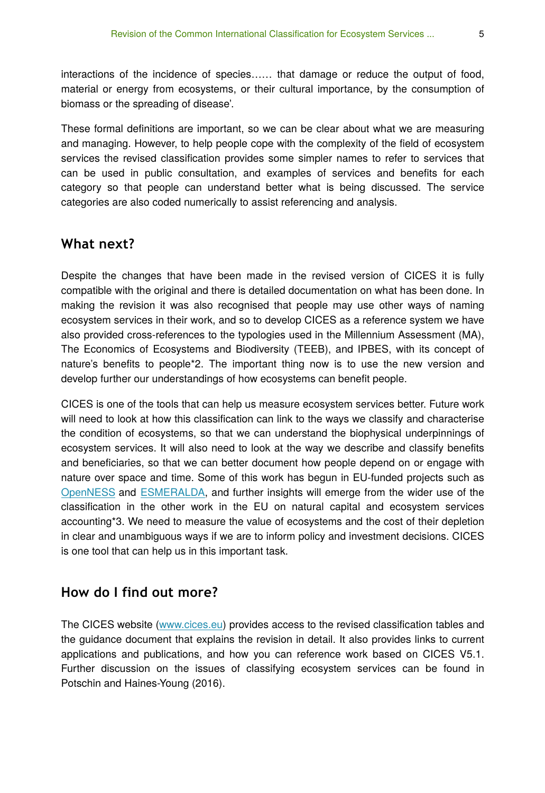interactions of the incidence of species…… that damage or reduce the output of food, material or energy from ecosystems, or their cultural importance, by the consumption of biomass or the spreading of disease'.

These formal definitions are important, so we can be clear about what we are measuring and managing. However, to help people cope with the complexity of the field of ecosystem services the revised classification provides some simpler names to refer to services that can be used in public consultation, and examples of services and benefits for each category so that people can understand better what is being discussed. The service categories are also coded numerically to assist referencing and analysis.

### **What next?**

Despite the changes that have been made in the revised version of CICES it is fully compatible with the original and there is detailed documentation on what has been done. In making the revision it was also recognised that people may use other ways of naming ecosystem services in their work, and so to develop CICES as a reference system we have also provided cross-references to the typologies used in the Millennium Assessment (MA), The Economics of Ecosystems and Biodiversity (TEEB), and IPBES, with its concept of nature's benefits to people\*2. The important thing now is to use the new version and develop further our understandings of how ecosystems can benefit people.

CICES is one of the tools that can help us measure ecosystem services better. Future work will need to look at how this classification can link to the ways we classify and characterise the condition of ecosystems, so that we can understand the biophysical underpinnings of ecosystem services. It will also need to look at the way we describe and classify benefits and beneficiaries, so that we can better document how people depend on or engage with nature over space and time. Some of this work has begun in EU-funded projects such as [OpenNESS](http://www.openness-project.eu/) and [ESMERALDA,](http://www.esmeralda-project.eu/) and further insights will emerge from the wider use of the classification in the other work in the EU on natural capital and ecosystem services accounting\*3. We need to measure the value of ecosystems and the cost of their depletion in clear and unambiguous ways if we are to inform policy and investment decisions. CICES is one tool that can help us in this important task.

### **How do I find out more?**

The CICES website ([www.cices.eu](http://www.cices.eu)) provides access to the revised classification tables and the guidance document that explains the revision in detail. It also provides links to current applications and publications, and how you can reference work based on CICES V5.1. Further discussion on the issues of classifying ecosystem services can be found in Potschin and Haines-Young (2016).